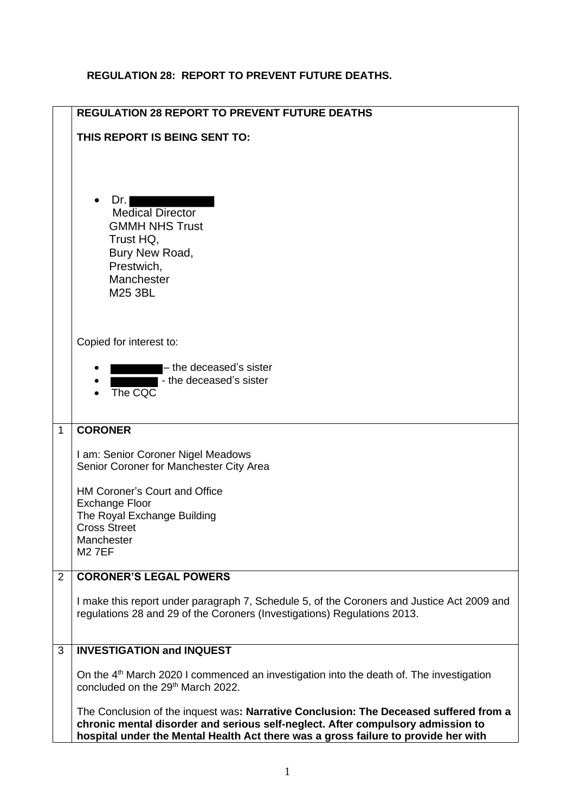## **REGULATION 28: REPORT TO PREVENT FUTURE DEATHS.**

|                | <b>REGULATION 28 REPORT TO PREVENT FUTURE DEATHS</b>                                                                                                                                                                                                           |
|----------------|----------------------------------------------------------------------------------------------------------------------------------------------------------------------------------------------------------------------------------------------------------------|
|                | THIS REPORT IS BEING SENT TO:                                                                                                                                                                                                                                  |
|                | Dr.<br><b>Medical Director</b><br><b>GMMH NHS Trust</b><br>Trust HQ,<br>Bury New Road,<br>Prestwich,<br>Manchester<br>M25 3BL                                                                                                                                  |
|                | Copied for interest to:                                                                                                                                                                                                                                        |
|                | - the deceased's sister<br>- the deceased's sister<br>The CQC                                                                                                                                                                                                  |
| $\mathbf{1}$   | <b>CORONER</b>                                                                                                                                                                                                                                                 |
|                | I am: Senior Coroner Nigel Meadows<br>Senior Coroner for Manchester City Area                                                                                                                                                                                  |
|                | HM Coroner's Court and Office                                                                                                                                                                                                                                  |
|                | <b>Exchange Floor</b><br>The Royal Exchange Building                                                                                                                                                                                                           |
|                | <b>Cross Street</b><br>Manchester<br><b>M27EF</b>                                                                                                                                                                                                              |
| $\overline{2}$ | <b>CORONER'S LEGAL POWERS</b>                                                                                                                                                                                                                                  |
|                |                                                                                                                                                                                                                                                                |
|                | I make this report under paragraph 7, Schedule 5, of the Coroners and Justice Act 2009 and<br>regulations 28 and 29 of the Coroners (Investigations) Regulations 2013.                                                                                         |
| 3              | <b>INVESTIGATION and INQUEST</b>                                                                                                                                                                                                                               |
|                | On the 4 <sup>th</sup> March 2020 I commenced an investigation into the death of. The investigation<br>concluded on the 29 <sup>th</sup> March 2022.                                                                                                           |
|                | The Conclusion of the inquest was: Narrative Conclusion: The Deceased suffered from a<br>chronic mental disorder and serious self-neglect. After compulsory admission to<br>hospital under the Mental Health Act there was a gross failure to provide her with |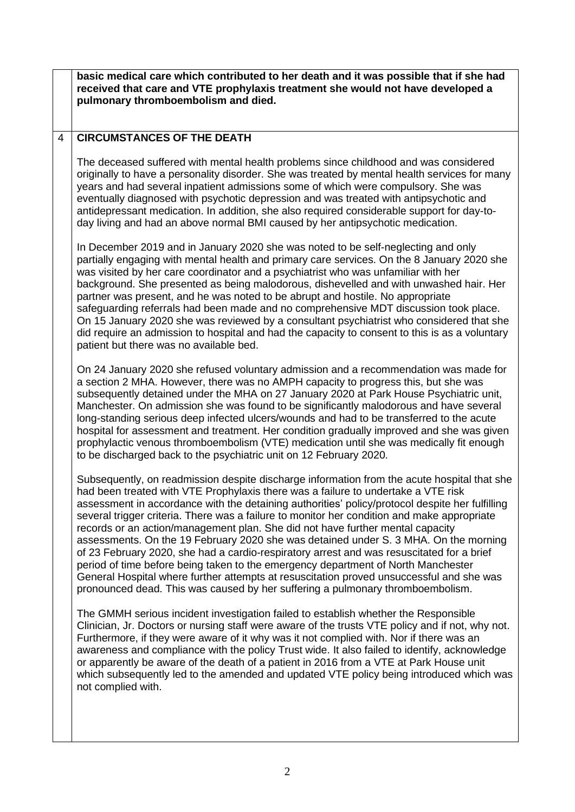**basic medical care which contributed to her death and it was possible that if she had received that care and VTE prophylaxis treatment she would not have developed a pulmonary thromboembolism and died.**

## 4 **CIRCUMSTANCES OF THE DEATH**

The deceased suffered with mental health problems since childhood and was considered originally to have a personality disorder. She was treated by mental health services for many years and had several inpatient admissions some of which were compulsory. She was eventually diagnosed with psychotic depression and was treated with antipsychotic and antidepressant medication. In addition, she also required considerable support for day-today living and had an above normal BMI caused by her antipsychotic medication.

In December 2019 and in January 2020 she was noted to be self-neglecting and only partially engaging with mental health and primary care services. On the 8 January 2020 she was visited by her care coordinator and a psychiatrist who was unfamiliar with her background. She presented as being malodorous, dishevelled and with unwashed hair. Her partner was present, and he was noted to be abrupt and hostile. No appropriate safeguarding referrals had been made and no comprehensive MDT discussion took place. On 15 January 2020 she was reviewed by a consultant psychiatrist who considered that she did require an admission to hospital and had the capacity to consent to this is as a voluntary patient but there was no available bed.

On 24 January 2020 she refused voluntary admission and a recommendation was made for a section 2 MHA. However, there was no AMPH capacity to progress this, but she was subsequently detained under the MHA on 27 January 2020 at Park House Psychiatric unit, Manchester. On admission she was found to be significantly malodorous and have several long-standing serious deep infected ulcers/wounds and had to be transferred to the acute hospital for assessment and treatment. Her condition gradually improved and she was given prophylactic venous thromboembolism (VTE) medication until she was medically fit enough to be discharged back to the psychiatric unit on 12 February 2020.

Subsequently, on readmission despite discharge information from the acute hospital that she had been treated with VTE Prophylaxis there was a failure to undertake a VTE risk assessment in accordance with the detaining authorities' policy/protocol despite her fulfilling several trigger criteria. There was a failure to monitor her condition and make appropriate records or an action/management plan. She did not have further mental capacity assessments. On the 19 February 2020 she was detained under S. 3 MHA. On the morning of 23 February 2020, she had a cardio-respiratory arrest and was resuscitated for a brief period of time before being taken to the emergency department of North Manchester General Hospital where further attempts at resuscitation proved unsuccessful and she was pronounced dead. This was caused by her suffering a pulmonary thromboembolism.

The GMMH serious incident investigation failed to establish whether the Responsible Clinician, Jr. Doctors or nursing staff were aware of the trusts VTE policy and if not, why not. Furthermore, if they were aware of it why was it not complied with. Nor if there was an awareness and compliance with the policy Trust wide. It also failed to identify, acknowledge or apparently be aware of the death of a patient in 2016 from a VTE at Park House unit which subsequently led to the amended and updated VTE policy being introduced which was not complied with.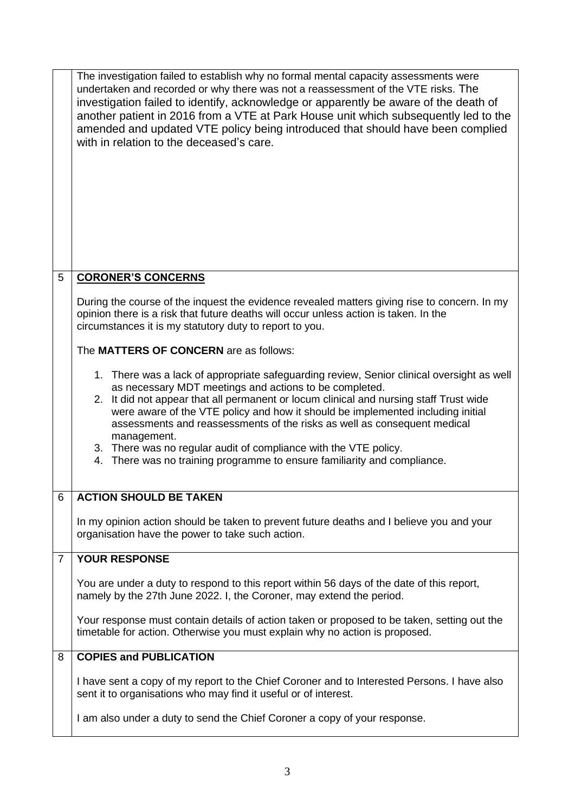|                | The investigation failed to establish why no formal mental capacity assessments were<br>undertaken and recorded or why there was not a reassessment of the VTE risks. The<br>investigation failed to identify, acknowledge or apparently be aware of the death of<br>another patient in 2016 from a VTE at Park House unit which subsequently led to the<br>amended and updated VTE policy being introduced that should have been complied<br>with in relation to the deceased's care.                                                                                      |
|----------------|-----------------------------------------------------------------------------------------------------------------------------------------------------------------------------------------------------------------------------------------------------------------------------------------------------------------------------------------------------------------------------------------------------------------------------------------------------------------------------------------------------------------------------------------------------------------------------|
| 5              | <b>CORONER'S CONCERNS</b>                                                                                                                                                                                                                                                                                                                                                                                                                                                                                                                                                   |
|                | During the course of the inquest the evidence revealed matters giving rise to concern. In my<br>opinion there is a risk that future deaths will occur unless action is taken. In the<br>circumstances it is my statutory duty to report to you.                                                                                                                                                                                                                                                                                                                             |
|                | The MATTERS OF CONCERN are as follows:                                                                                                                                                                                                                                                                                                                                                                                                                                                                                                                                      |
|                | 1. There was a lack of appropriate safeguarding review, Senior clinical oversight as well<br>as necessary MDT meetings and actions to be completed.<br>2. It did not appear that all permanent or locum clinical and nursing staff Trust wide<br>were aware of the VTE policy and how it should be implemented including initial<br>assessments and reassessments of the risks as well as consequent medical<br>management.<br>3. There was no regular audit of compliance with the VTE policy.<br>4. There was no training programme to ensure familiarity and compliance. |
| 6              | <b>ACTION SHOULD BE TAKEN</b>                                                                                                                                                                                                                                                                                                                                                                                                                                                                                                                                               |
|                | In my opinion action should be taken to prevent future deaths and I believe you and your<br>organisation have the power to take such action.                                                                                                                                                                                                                                                                                                                                                                                                                                |
| $\overline{7}$ | <b>YOUR RESPONSE</b>                                                                                                                                                                                                                                                                                                                                                                                                                                                                                                                                                        |
|                | You are under a duty to respond to this report within 56 days of the date of this report,<br>namely by the 27th June 2022. I, the Coroner, may extend the period.                                                                                                                                                                                                                                                                                                                                                                                                           |
|                | Your response must contain details of action taken or proposed to be taken, setting out the<br>timetable for action. Otherwise you must explain why no action is proposed.                                                                                                                                                                                                                                                                                                                                                                                                  |
| 8              | <b>COPIES and PUBLICATION</b>                                                                                                                                                                                                                                                                                                                                                                                                                                                                                                                                               |
|                | I have sent a copy of my report to the Chief Coroner and to Interested Persons. I have also<br>sent it to organisations who may find it useful or of interest.                                                                                                                                                                                                                                                                                                                                                                                                              |
|                | I am also under a duty to send the Chief Coroner a copy of your response.                                                                                                                                                                                                                                                                                                                                                                                                                                                                                                   |